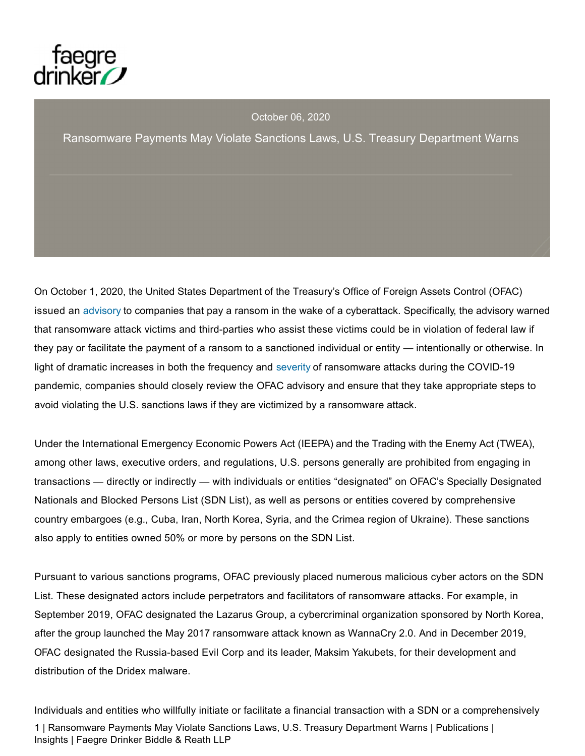

October 06, 2020

Ransomware Payments May Violate Sanctions Laws, U.S. Treasury Department Warns

On October 1, 2020, the United States Department of the Treasury's Office of Foreign Assets Control (OFAC) issued an advisory to companies that pay a ransom in the wake of a cyberattack. Specifically, the advisory warned that ransomware attack victims and third-parties who assist these victims could be in violation of federal law if they pay or facilitate the payment of a ransom to a sanctioned individual or entity — intentionally or otherwise. In light of dramatic increases in both the frequency and severity of ransomware attacks during the COVID-19 pandemic, companies should closely review the OFAC advisory and ensure that they take appropriate steps to avoid violating the U.S. sanctions laws if they are victimized by a ransomware attack.

Under the International Emergency Economic Powers Act (IEEPA) and the Trading with the Enemy Act (TWEA), among other laws, executive orders, and regulations, U.S. persons generally are prohibited from engaging in transactions — directly or indirectly — with individuals or entities "designated" on OFAC's Specially Designated Nationals and Blocked Persons List (SDN List), as well as persons or entities covered by comprehensive country embargoes (e.g., Cuba, Iran, North Korea, Syria, and the Crimea region of Ukraine). These sanctions also apply to entities owned 50% or more by persons on the SDN List.

Pursuant to various sanctions programs, OFAC previously placed numerous malicious cyber actors on the SDN List. These designated actors include perpetrators and facilitators of ransomware attacks. For example, in September 2019, OFAC designated the Lazarus Group, a cybercriminal organization sponsored by North Korea, after the group launched the May 2017 ransomware attack known as WannaCry 2.0. And in December 2019, OFAC designated the Russia-based Evil Corp and its leader, Maksim Yakubets, for their development and distribution of the Dridex malware.

Individuals and entities who willfully initiate or facilitate a financial transaction with a SDN or a comprehensively 1 | Ransomware Payments May Violate Sanctions Laws, U.S. Treasury Department Warns | Publications | Insights | Faegre Drinker Biddle & Reath LLP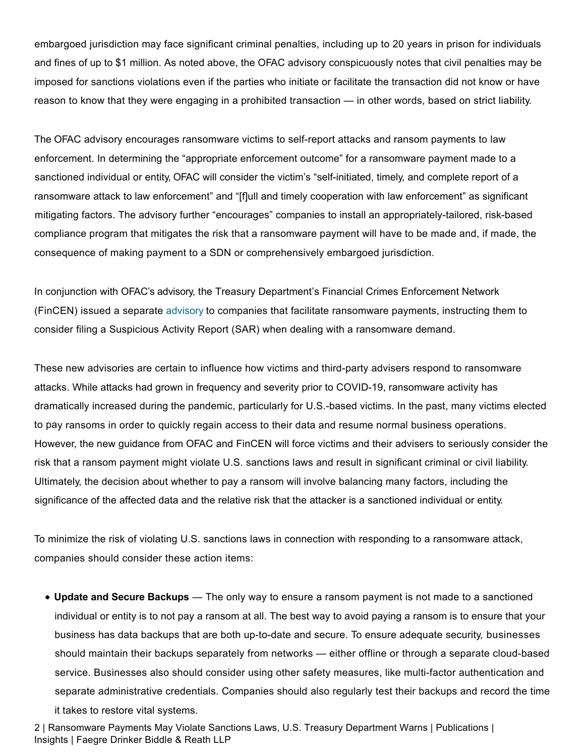embargoed jurisdiction may face significant criminal penalties, including up to 20 years in prison for individuals and fines of up to \$1 million. As noted above, the OFAC advisory conspicuously notes that civil penalties may be imposed for sanctions violations even if the parties who initiate or facilitate the transaction did not know or have reason to know that they were engaging in a prohibited transaction — in other words, based on strict liability.

The OFAC advisory encourages ransomware victims to self-report attacks and ransom payments to law enforcement. In determining the "appropriate enforcement outcome" for a ransomware payment made to a sanctioned individual or entity, OFAC will consider the victim's "self-initiated, timely, and complete report of a ransomware attack to law enforcement" and "[f]ull and timely cooperation with law enforcement" as significant mitigating factors. The advisory further "encourages" companies to install an appropriately-tailored, risk-based compliance program that mitigates the risk that a ransomware payment will have to be made and, if made, the consequence of making payment to a SDN or comprehensively embargoed jurisdiction.

In conjunction with OFAC's advisory, the Treasury Department's Financial Crimes Enforcement Network (FinCEN) issued a separate advisory to companies that facilitate ransomware payments, instructing them to consider filing a Suspicious Activity Report (SAR) when dealing with a ransomware demand.

These new advisories are certain to influence how victims and third-party advisers respond to ransomware attacks. While attacks had grown in frequency and severity prior to COVID-19, ransomware activity has dramatically increased during the pandemic, particularly for U.S.-based victims. In the past, many victims elected to pay ransoms in order to quickly regain access to their data and resume normal business operations. However, the new guidance from OFAC and FinCEN will force victims and their advisers to seriously consider the risk that a ransom payment might violate U.S. sanctions laws and result in significant criminal or civil liability. Ultimately, the decision about whether to pay a ransom will involve balancing many factors, including the significance of the affected data and the relative risk that the attacker is a sanctioned individual or entity.

To minimize the risk of violating U.S. sanctions laws in connection with responding to a ransomware attack, companies should consider these action items:

**Update and Secure Backups** — The only way to ensure a ransom payment is not made to a sanctioned individual or entity is to not pay a ransom at all. The best way to avoid paying a ransom is to ensure that your business has data backups that are both up-to-date and secure. To ensure adequate security, businesses should maintain their backups separately from networks — either offline or through a separate cloud-based service. Businesses also should consider using other safety measures, like multi-factor authentication and separate administrative credentials. Companies should also regularly test their backups and record the time it takes to restore vital systems.

2 | Ransomware Payments May Violate Sanctions Laws, U.S. Treasury Department Warns | Publications | Insights | Faegre Drinker Biddle & Reath LLP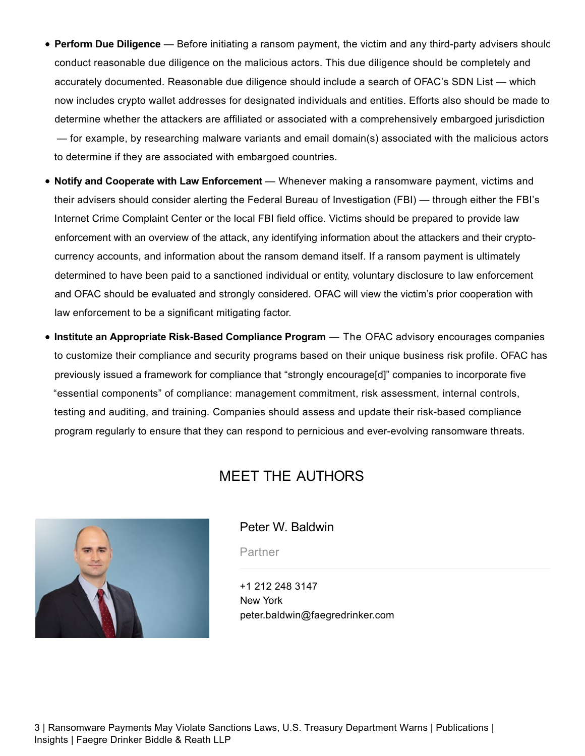- **Perform Due Diligence** Before initiating a ransom payment, the victim and any third-party advisers should conduct reasonable due diligence on the malicious actors. This due diligence should be completely and accurately documented. Reasonable due diligence should include a search of OFAC's SDN List — which now includes crypto wallet addresses for designated individuals and entities. Efforts also should be made to determine whether the attackers are affiliated or associated with a comprehensively embargoed jurisdiction — for example, by researching malware variants and email domain(s) associated with the malicious actors to determine if they are associated with embargoed countries.
- **Notify and Cooperate with Law Enforcement** Whenever making a ransomware payment, victims and their advisers should consider alerting the Federal Bureau of Investigation (FBI) — through either the FBI's Internet Crime Complaint Center or the local FBI field office. Victims should be prepared to provide law enforcement with an overview of the attack, any identifying information about the attackers and their cryptocurrency accounts, and information about the ransom demand itself. If a ransom payment is ultimately determined to have been paid to a sanctioned individual or entity, voluntary disclosure to law enforcement and OFAC should be evaluated and strongly considered. OFAC will view the victim's prior cooperation with law enforcement to be a significant mitigating factor.
- **Institute an Appropriate Risk-Based Compliance Program** The OFAC advisory encourages companies to customize their compliance and security programs based on their unique business risk profile. OFAC has previously issued a framework for compliance that "strongly encourage[d]" companies to incorporate five "essential components" of compliance: management commitment, risk assessment, internal controls, testing and auditing, and training. Companies should assess and update their risk-based compliance program regularly to ensure that they can respond to pernicious and ever-evolving ransomware threats.

# MEET THE AUTHORS



#### Peter W. Baldwin

**Partner** 

+1 212 248 3147 New York peter.baldwin@faegredrinker.com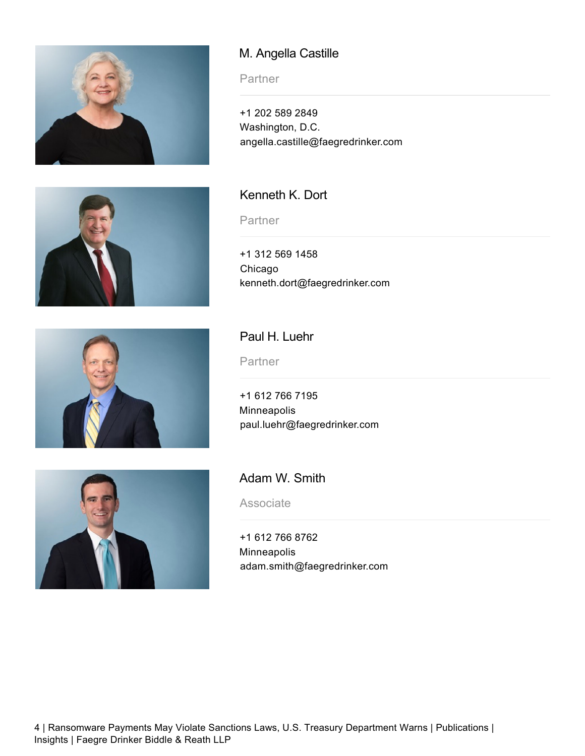





## M. Angella Castille

**Partner** 

+1 202 589 2849 Washington, D.C. angella.castille@faegredrinker.com

#### Kenneth K. Dort

**Partner** 

+1 312 569 1458 Chicago kenneth.dort@faegredrinker.com

#### Paul H. Luehr

**Partner** 

+1 612 766 7195 Minneapolis paul.luehr@faegredrinker.com



Adam W. Smith

**Associate** 

+1 612 766 8762 Minneapolis adam.smith@faegredrinker.com